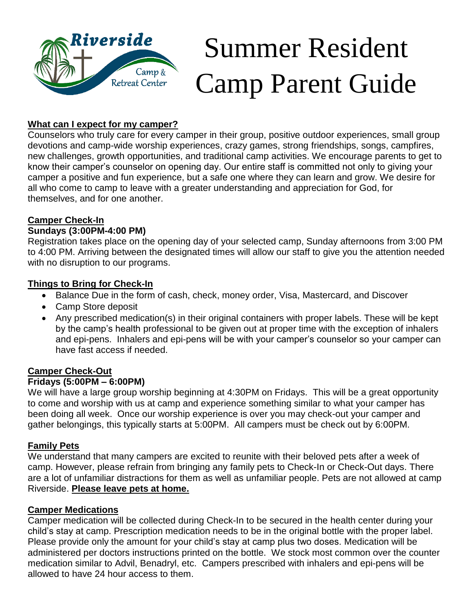

# Summer Resident Camp Parent Guide

## **What can I expect for my camper?**

Counselors who truly care for every camper in their group, positive outdoor experiences, small group devotions and camp-wide worship experiences, crazy games, strong friendships, songs, campfires, new challenges, growth opportunities, and traditional camp activities. We encourage parents to get to know their camper's counselor on opening day. Our entire staff is committed not only to giving your camper a positive and fun experience, but a safe one where they can learn and grow. We desire for all who come to camp to leave with a greater understanding and appreciation for God, for themselves, and for one another.

## **Camper Check-In**

### **Sundays (3:00PM-4:00 PM)**

Registration takes place on the opening day of your selected camp, Sunday afternoons from 3:00 PM to 4:00 PM. Arriving between the designated times will allow our staff to give you the attention needed with no disruption to our programs.

#### **Things to Bring for Check-In**

- Balance Due in the form of cash, check, money order, Visa, Mastercard, and Discover
- Camp Store deposit
- Any prescribed medication(s) in their original containers with proper labels. These will be kept by the camp's health professional to be given out at proper time with the exception of inhalers and epi-pens. Inhalers and epi-pens will be with your camper's counselor so your camper can have fast access if needed.

# **Camper Check-Out**

#### **Fridays (5:00PM – 6:00PM)**

We will have a large group worship beginning at 4:30PM on Fridays. This will be a great opportunity to come and worship with us at camp and experience something similar to what your camper has been doing all week. Once our worship experience is over you may check-out your camper and gather belongings, this typically starts at 5:00PM. All campers must be check out by 6:00PM.

#### **Family Pets**

We understand that many campers are excited to reunite with their beloved pets after a week of camp. However, please refrain from bringing any family pets to Check-In or Check-Out days. There are a lot of unfamiliar distractions for them as well as unfamiliar people. Pets are not allowed at camp Riverside. **Please leave pets at home.**

#### **Camper Medications**

Camper medication will be collected during Check-In to be secured in the health center during your child's stay at camp. Prescription medication needs to be in the original bottle with the proper label. Please provide only the amount for your child's stay at camp plus two doses. Medication will be administered per doctors instructions printed on the bottle. We stock most common over the counter medication similar to Advil, Benadryl, etc. Campers prescribed with inhalers and epi-pens will be allowed to have 24 hour access to them.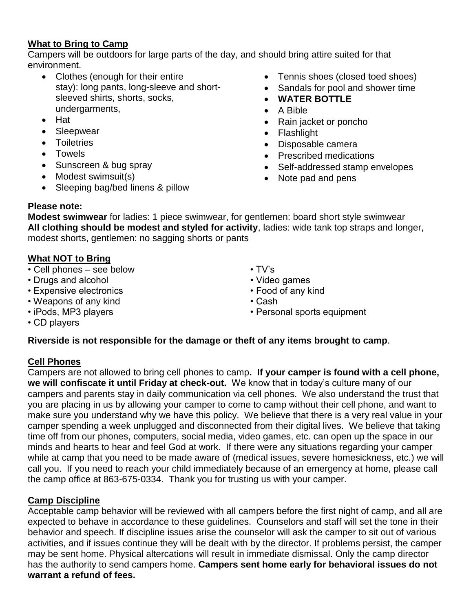### **What to Bring to Camp**

Campers will be outdoors for large parts of the day, and should bring attire suited for that environment.

- Clothes (enough for their entire stay): long pants, long-sleeve and shortsleeved shirts, shorts, socks, undergarments,
- Hat
- **Sleepwear**
- Toiletries
- Towels
- Sunscreen & bug spray
- Modest swimsuit(s)
- Sleeping bag/bed linens & pillow
- Tennis shoes (closed toed shoes)
- Sandals for pool and shower time
- **WATER BOTTLE**
- A Bible
- Rain jacket or poncho
- Flashlight
- Disposable camera
- Prescribed medications
- Self-addressed stamp envelopes
- Note pad and pens

## **Please note:**

**Modest swimwear** for ladies: 1 piece swimwear, for gentlemen: board short style swimwear **All clothing should be modest and styled for activity**, ladies: wide tank top straps and longer, modest shorts, gentlemen: no sagging shorts or pants

# **What NOT to Bring**

- Cell phones see below
- Drugs and alcohol
- Expensive electronics
- Weapons of any kind
- iPods, MP3 players
- TV's
- Video games
- Food of any kind
- Cash
- Personal sports equipment

• CD players

### **Riverside is not responsible for the damage or theft of any items brought to camp**.

# **Cell Phones**

Campers are not allowed to bring cell phones to camp**. If your camper is found with a cell phone, we will confiscate it until Friday at check-out.** We know that in today's culture many of our campers and parents stay in daily communication via cell phones. We also understand the trust that you are placing in us by allowing your camper to come to camp without their cell phone, and want to make sure you understand why we have this policy. We believe that there is a very real value in your camper spending a week unplugged and disconnected from their digital lives. We believe that taking time off from our phones, computers, social media, video games, etc. can open up the space in our minds and hearts to hear and feel God at work. If there were any situations regarding your camper while at camp that you need to be made aware of (medical issues, severe homesickness, etc.) we will call you. If you need to reach your child immediately because of an emergency at home, please call the camp office at 863-675-0334. Thank you for trusting us with your camper.

# **Camp Discipline**

Acceptable camp behavior will be reviewed with all campers before the first night of camp, and all are expected to behave in accordance to these guidelines. Counselors and staff will set the tone in their behavior and speech. If discipline issues arise the counselor will ask the camper to sit out of various activities, and if issues continue they will be dealt with by the director. If problems persist, the camper may be sent home. Physical altercations will result in immediate dismissal. Only the camp director has the authority to send campers home. **Campers sent home early for behavioral issues do not warrant a refund of fees.**